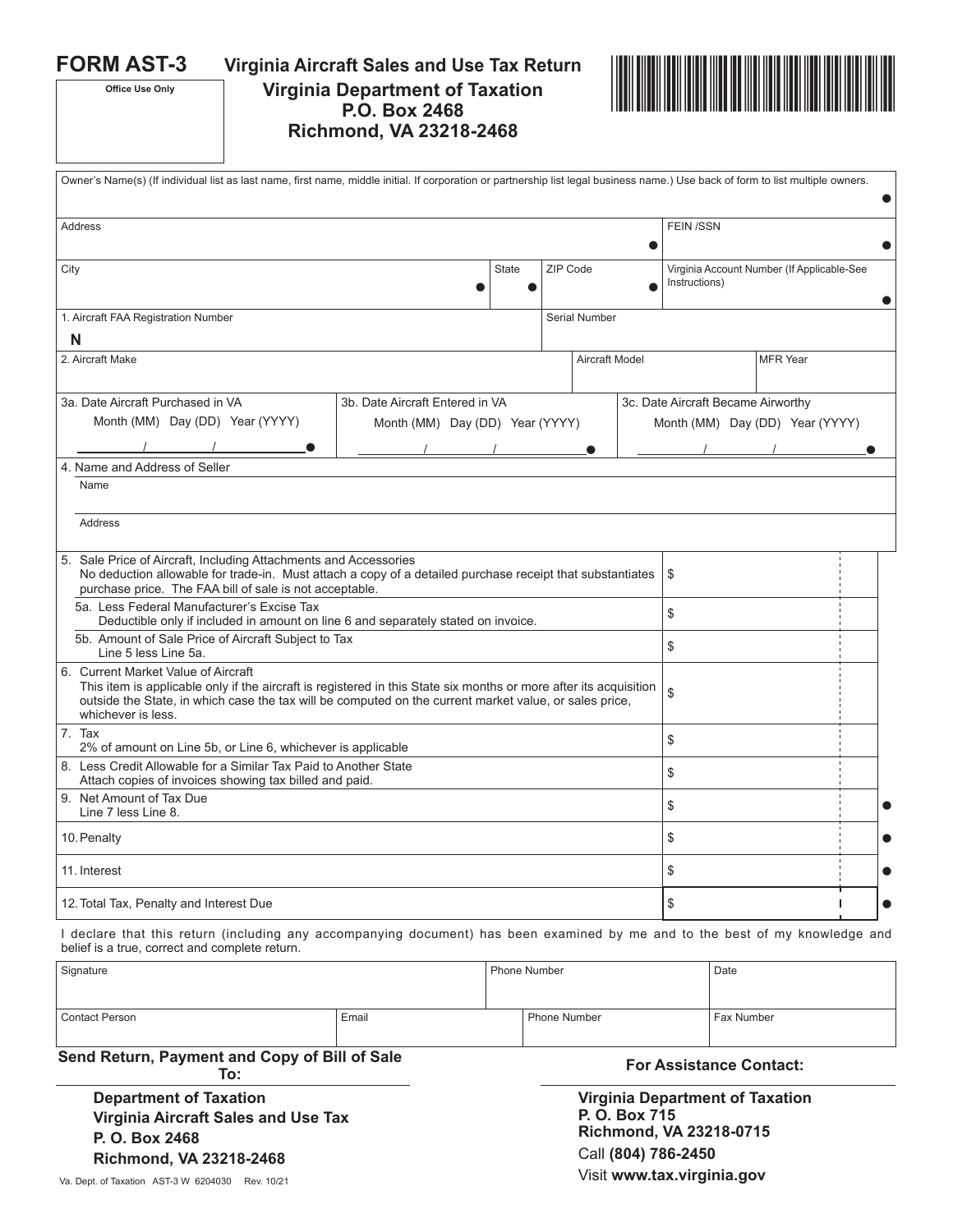**Office Use Only**

**FORM AST-3 Virginia Aircraft Sales and Use Tax Return Virginia Department of Taxation P.O. Box 2468 Richmond, VA 23218-2468**



| Owner's Name(s) (If individual list as last name, first name, middle initial. If corporation or partnership list legal business name.) Use back of form to list multiple owners.                                                                                                         |                                 |                                 |                       |               |  |                                                             |                                 |  |  |  |
|------------------------------------------------------------------------------------------------------------------------------------------------------------------------------------------------------------------------------------------------------------------------------------------|---------------------------------|---------------------------------|-----------------------|---------------|--|-------------------------------------------------------------|---------------------------------|--|--|--|
| <b>Address</b>                                                                                                                                                                                                                                                                           |                                 |                                 |                       |               |  | <b>FEIN/SSN</b>                                             |                                 |  |  |  |
| City                                                                                                                                                                                                                                                                                     |                                 |                                 | ZIP Code              |               |  | Virginia Account Number (If Applicable-See<br>Instructions) |                                 |  |  |  |
| 1. Aircraft FAA Registration Number                                                                                                                                                                                                                                                      |                                 |                                 |                       | Serial Number |  |                                                             |                                 |  |  |  |
| N                                                                                                                                                                                                                                                                                        |                                 |                                 |                       |               |  |                                                             |                                 |  |  |  |
| 2. Aircraft Make                                                                                                                                                                                                                                                                         |                                 |                                 | <b>Aircraft Model</b> |               |  |                                                             | <b>MFR</b> Year                 |  |  |  |
| 3a. Date Aircraft Purchased in VA                                                                                                                                                                                                                                                        | 3b. Date Aircraft Entered in VA |                                 |                       |               |  | 3c. Date Aircraft Became Airworthy                          |                                 |  |  |  |
| Month (MM) Day (DD) Year (YYYY)                                                                                                                                                                                                                                                          |                                 | Month (MM) Day (DD) Year (YYYY) |                       |               |  |                                                             | Month (MM) Day (DD) Year (YYYY) |  |  |  |
|                                                                                                                                                                                                                                                                                          |                                 |                                 |                       |               |  |                                                             |                                 |  |  |  |
| 4. Name and Address of Seller                                                                                                                                                                                                                                                            |                                 |                                 |                       |               |  |                                                             |                                 |  |  |  |
| Name                                                                                                                                                                                                                                                                                     |                                 |                                 |                       |               |  |                                                             |                                 |  |  |  |
| Address                                                                                                                                                                                                                                                                                  |                                 |                                 |                       |               |  |                                                             |                                 |  |  |  |
| 5. Sale Price of Aircraft, Including Attachments and Accessories<br>No deduction allowable for trade-in. Must attach a copy of a detailed purchase receipt that substantiates<br>purchase price. The FAA bill of sale is not acceptable.                                                 |                                 |                                 |                       |               |  | \$                                                          |                                 |  |  |  |
| 5a. Less Federal Manufacturer's Excise Tax<br>Deductible only if included in amount on line 6 and separately stated on invoice.                                                                                                                                                          |                                 |                                 |                       |               |  | \$                                                          |                                 |  |  |  |
| 5b. Amount of Sale Price of Aircraft Subject to Tax<br>Line 5 less Line 5a.                                                                                                                                                                                                              |                                 |                                 |                       |               |  | \$                                                          |                                 |  |  |  |
| 6. Current Market Value of Aircraft<br>This item is applicable only if the aircraft is registered in this State six months or more after its acquisition<br>outside the State, in which case the tax will be computed on the current market value, or sales price,<br>whichever is less. |                                 |                                 |                       |               |  | \$                                                          |                                 |  |  |  |
| 7. Tax<br>2% of amount on Line 5b, or Line 6, whichever is applicable                                                                                                                                                                                                                    |                                 |                                 |                       |               |  | \$                                                          |                                 |  |  |  |
| 8. Less Credit Allowable for a Similar Tax Paid to Another State<br>Attach copies of invoices showing tax billed and paid.                                                                                                                                                               |                                 |                                 |                       |               |  | \$                                                          |                                 |  |  |  |
| 9. Net Amount of Tax Due<br>Line 7 less Line 8.                                                                                                                                                                                                                                          |                                 |                                 |                       |               |  | \$                                                          |                                 |  |  |  |
| 10. Penalty                                                                                                                                                                                                                                                                              |                                 |                                 |                       |               |  | \$                                                          |                                 |  |  |  |
| 11. Interest                                                                                                                                                                                                                                                                             |                                 |                                 |                       |               |  | \$                                                          |                                 |  |  |  |
| 12. Total Tax, Penalty and Interest Due                                                                                                                                                                                                                                                  |                                 |                                 |                       |               |  | \$                                                          |                                 |  |  |  |
|                                                                                                                                                                                                                                                                                          |                                 |                                 |                       |               |  |                                                             |                                 |  |  |  |

I declare that this return (including any accompanying document) has been examined by me and to the best of my knowledge and belief is a true, correct and complete return.

| Signature      |       | Phone Number | Date       |  |  |
|----------------|-------|--------------|------------|--|--|
| Contact Person | Email | Phone Number | Fax Number |  |  |

**Send Return, Payment and Copy of Bill of Sale** 

**Department of Taxation Virginia Aircraft Sales and Use Tax P. O. Box 2468 Richmond, VA 23218-2468** 

**To: For Assistance Contact:** 

**Virginia Department of Taxation P. O. Box 715 Richmond, VA 23218-0715** Call **(804) 786-2450** Va. Dept. of Taxation AST-3 W 6204030 Rev. 10/21 **Visit www.tax.virginia.gov**